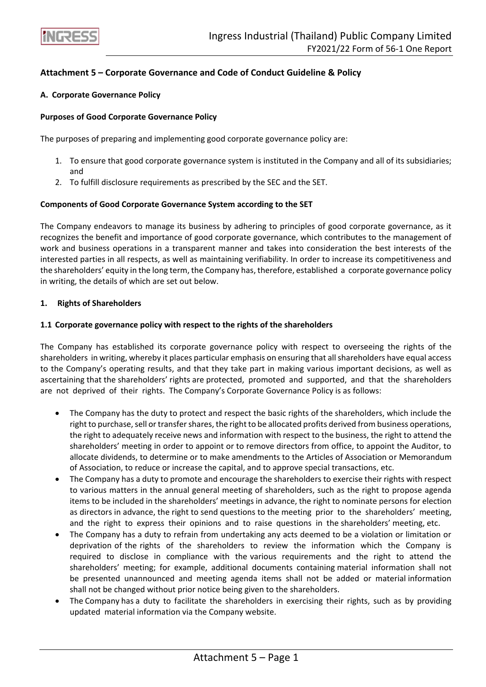

# **Attachment 5 – Corporate Governance and Code of Conduct Guideline & Policy**

### **A. Corporate Governance Policy**

# **Purposes of Good Corporate Governance Policy**

The purposes of preparing and implementing good corporate governance policy are:

- 1. To ensure that good corporate governance system is instituted in the Company and all of its subsidiaries; and
- 2. To fulfill disclosure requirements as prescribed by the SEC and the SET.

### **Components of Good Corporate Governance System according to the SET**

The Company endeavors to manage its business by adhering to principles of good corporate governance, as it recognizes the benefit and importance of good corporate governance, which contributes to the management of work and business operations in a transparent manner and takes into consideration the best interests of the interested parties in all respects, as well as maintaining verifiability. In order to increase its competitiveness and the shareholders' equity in the long term, the Company has, therefore, established a corporate governance policy in writing, the details of which are set out below.

# **1. Rights of Shareholders**

# **1.1 Corporate governance policy with respect to the rights of the shareholders**

The Company has established its corporate governance policy with respect to overseeing the rights of the shareholders in writing, whereby it places particular emphasis on ensuring that all shareholders have equal access to the Company's operating results, and that they take part in making various important decisions, as well as ascertaining that the shareholders' rights are protected, promoted and supported, and that the shareholders are not deprived of their rights. The Company's Corporate Governance Policy is as follows:

- The Company has the duty to protect and respect the basic rights of the shareholders, which include the right to purchase, sell or transfer shares, the right to be allocated profits derived from business operations, the right to adequately receive news and information with respect to the business, the right to attend the shareholders' meeting in order to appoint or to remove directors from office, to appoint the Auditor, to allocate dividends, to determine or to make amendments to the Articles of Association or Memorandum of Association, to reduce or increase the capital, and to approve special transactions, etc.
- The Company has a duty to promote and encourage the shareholders to exercise their rights with respect to various matters in the annual general meeting of shareholders, such as the right to propose agenda items to be included in the shareholders' meetings in advance, the right to nominate persons for election as directors in advance, the right to send questions to the meeting prior to the shareholders' meeting, and the right to express their opinions and to raise questions in the shareholders' meeting, etc.
- The Company has a duty to refrain from undertaking any acts deemed to be a violation or limitation or deprivation of the rights of the shareholders to review the information which the Company is required to disclose in compliance with the various requirements and the right to attend the shareholders' meeting; for example, additional documents containing material information shall not be presented unannounced and meeting agenda items shall not be added or material information shall not be changed without prior notice being given to the shareholders.
- The Company has a duty to facilitate the shareholders in exercising their rights, such as by providing updated material information via the Company website.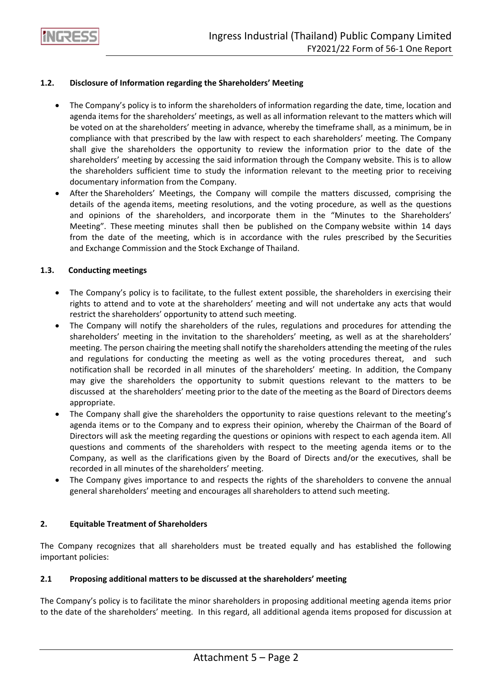

# **1.2. Disclosure of Information regarding the Shareholders' Meeting**

- The Company's policy is to inform the shareholders of information regarding the date, time, location and agenda items for the shareholders' meetings, as well as all information relevant to the matters which will be voted on at the shareholders' meeting in advance, whereby the timeframe shall, as a minimum, be in compliance with that prescribed by the law with respect to each shareholders' meeting. The Company shall give the shareholders the opportunity to review the information prior to the date of the shareholders' meeting by accessing the said information through the Company website. This is to allow the shareholders sufficient time to study the information relevant to the meeting prior to receiving documentary information from the Company.
- After the Shareholders' Meetings, the Company will compile the matters discussed, comprising the details of the agenda items, meeting resolutions, and the voting procedure, as well as the questions and opinions of the shareholders, and incorporate them in the "Minutes to the Shareholders' Meeting". These meeting minutes shall then be published on the Company website within 14 days from the date of the meeting, which is in accordance with the rules prescribed by the Securities and Exchange Commission and the Stock Exchange of Thailand.

# **1.3. Conducting meetings**

- The Company's policy is to facilitate, to the fullest extent possible, the shareholders in exercising their rights to attend and to vote at the shareholders' meeting and will not undertake any acts that would restrict the shareholders' opportunity to attend such meeting.
- The Company will notify the shareholders of the rules, regulations and procedures for attending the shareholders' meeting in the invitation to the shareholders' meeting, as well as at the shareholders' meeting. The person chairing the meeting shall notify the shareholders attending the meeting of the rules and regulations for conducting the meeting as well as the voting procedures thereat, and such notification shall be recorded in all minutes of the shareholders' meeting. In addition, the Company may give the shareholders the opportunity to submit questions relevant to the matters to be discussed at the shareholders' meeting prior to the date of the meeting as the Board of Directors deems appropriate.
- The Company shall give the shareholders the opportunity to raise questions relevant to the meeting's agenda items or to the Company and to express their opinion, whereby the Chairman of the Board of Directors will ask the meeting regarding the questions or opinions with respect to each agenda item. All questions and comments of the shareholders with respect to the meeting agenda items or to the Company, as well as the clarifications given by the Board of Directs and/or the executives, shall be recorded in all minutes of the shareholders' meeting.
- The Company gives importance to and respects the rights of the shareholders to convene the annual general shareholders' meeting and encourages all shareholders to attend such meeting.

# **2. Equitable Treatment of Shareholders**

The Company recognizes that all shareholders must be treated equally and has established the following important policies:

# **2.1 Proposing additional matters to be discussed at the shareholders' meeting**

The Company's policy is to facilitate the minor shareholders in proposing additional meeting agenda items prior to the date of the shareholders' meeting. In this regard, all additional agenda items proposed for discussion at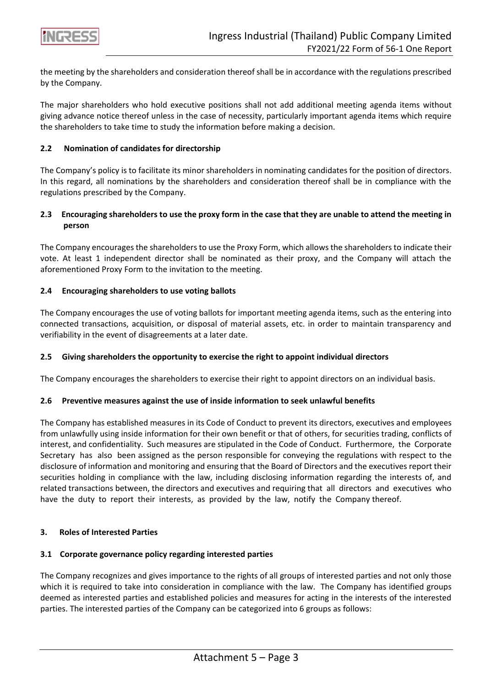

the meeting by the shareholders and consideration thereof shall be in accordance with the regulations prescribed by the Company.

The major shareholders who hold executive positions shall not add additional meeting agenda items without giving advance notice thereof unless in the case of necessity, particularly important agenda items which require the shareholders to take time to study the information before making a decision.

### **2.2 Nomination of candidates for directorship**

The Company's policy is to facilitate its minor shareholders in nominating candidates for the position of directors. In this regard, all nominations by the shareholders and consideration thereof shall be in compliance with the regulations prescribed by the Company.

# **2.3 Encouraging shareholders to use the proxy form in the case that they are unable to attend the meeting in person**

The Company encourages the shareholders to use the Proxy Form, which allows the shareholders to indicate their vote. At least 1 independent director shall be nominated as their proxy, and the Company will attach the aforementioned Proxy Form to the invitation to the meeting.

# **2.4 Encouraging shareholders to use voting ballots**

The Company encourages the use of voting ballots for important meeting agenda items, such as the entering into connected transactions, acquisition, or disposal of material assets, etc. in order to maintain transparency and verifiability in the event of disagreements at a later date.

### **2.5 Giving shareholders the opportunity to exercise the right to appoint individual directors**

The Company encourages the shareholders to exercise their right to appoint directors on an individual basis.

### **2.6 Preventive measures against the use of inside information to seek unlawful benefits**

The Company has established measures in its Code of Conduct to prevent its directors, executives and employees from unlawfully using inside information for their own benefit or that of others, for securities trading, conflicts of interest, and confidentiality. Such measures are stipulated in the Code of Conduct. Furthermore, the Corporate Secretary has also been assigned as the person responsible for conveying the regulations with respect to the disclosure of information and monitoring and ensuring that the Board of Directors and the executives report their securities holding in compliance with the law, including disclosing information regarding the interests of, and related transactions between, the directors and executives and requiring that all directors and executives who have the duty to report their interests, as provided by the law, notify the Company thereof.

# **3. Roles of Interested Parties**

### **3.1 Corporate governance policy regarding interested parties**

The Company recognizes and gives importance to the rights of all groups of interested parties and not only those which it is required to take into consideration in compliance with the law. The Company has identified groups deemed as interested parties and established policies and measures for acting in the interests of the interested parties. The interested parties of the Company can be categorized into 6 groups as follows: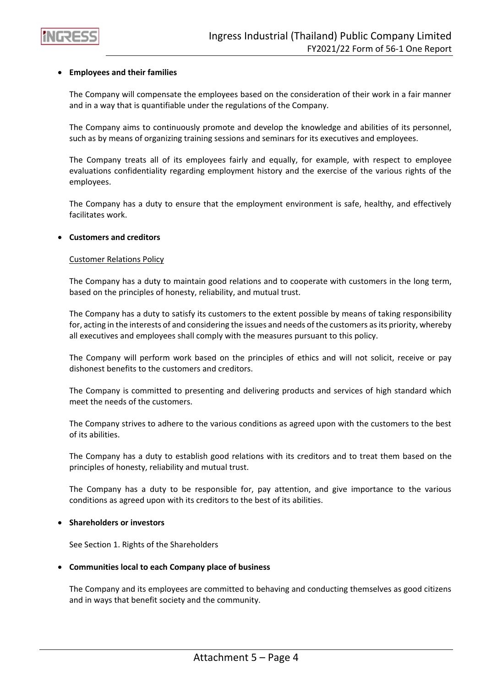

### • **Employees and their families**

The Company will compensate the employees based on the consideration of their work in a fair manner and in a way that is quantifiable under the regulations of the Company.

The Company aims to continuously promote and develop the knowledge and abilities of its personnel, such as by means of organizing training sessions and seminars for its executives and employees.

The Company treats all of its employees fairly and equally, for example, with respect to employee evaluations confidentiality regarding employment history and the exercise of the various rights of the employees.

The Company has a duty to ensure that the employment environment is safe, healthy, and effectively facilitates work.

### • **Customers and creditors**

#### Customer Relations Policy

The Company has a duty to maintain good relations and to cooperate with customers in the long term, based on the principles of honesty, reliability, and mutual trust.

The Company has a duty to satisfy its customers to the extent possible by means of taking responsibility for, acting in the interests of and considering the issues and needs of the customers as its priority, whereby all executives and employees shall comply with the measures pursuant to this policy.

The Company will perform work based on the principles of ethics and will not solicit, receive or pay dishonest benefits to the customers and creditors.

The Company is committed to presenting and delivering products and services of high standard which meet the needs of the customers.

The Company strives to adhere to the various conditions as agreed upon with the customers to the best of its abilities.

The Company has a duty to establish good relations with its creditors and to treat them based on the principles of honesty, reliability and mutual trust.

The Company has a duty to be responsible for, pay attention, and give importance to the various conditions as agreed upon with its creditors to the best of its abilities.

### • **Shareholders or investors**

See Section 1. Rights of the Shareholders

### • **Communities local to each Company place of business**

The Company and its employees are committed to behaving and conducting themselves as good citizens and in ways that benefit society and the community.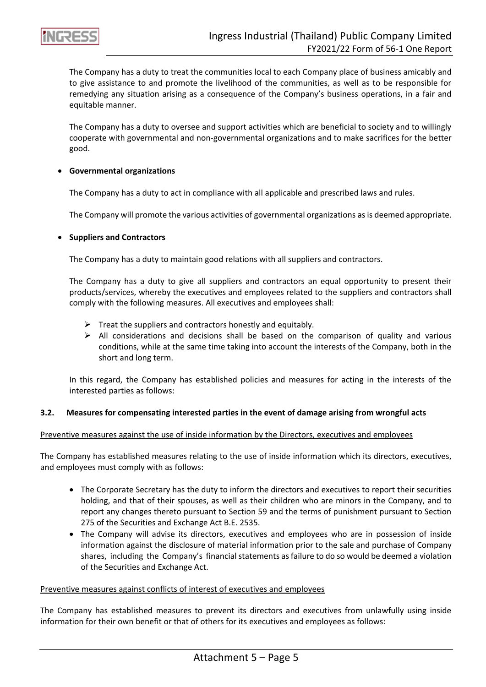

The Company has a duty to treat the communities local to each Company place of business amicably and to give assistance to and promote the livelihood of the communities, as well as to be responsible for remedying any situation arising as a consequence of the Company's business operations, in a fair and equitable manner.

The Company has a duty to oversee and support activities which are beneficial to society and to willingly cooperate with governmental and non-governmental organizations and to make sacrifices for the better good.

### • **Governmental organizations**

The Company has a duty to act in compliance with all applicable and prescribed laws and rules.

The Company will promote the various activities of governmental organizations as is deemed appropriate.

### • **Suppliers and Contractors**

The Company has a duty to maintain good relations with all suppliers and contractors.

The Company has a duty to give all suppliers and contractors an equal opportunity to present their products/services, whereby the executives and employees related to the suppliers and contractors shall comply with the following measures. All executives and employees shall:

- $\triangleright$  Treat the suppliers and contractors honestly and equitably.
- $\triangleright$  All considerations and decisions shall be based on the comparison of quality and various conditions, while at the same time taking into account the interests of the Company, both in the short and long term.

In this regard, the Company has established policies and measures for acting in the interests of the interested parties as follows:

### **3.2. Measures for compensating interested parties in the event of damage arising from wrongful acts**

### Preventive measures against the use of inside information by the Directors, executives and employees

The Company has established measures relating to the use of inside information which its directors, executives, and employees must comply with as follows:

- The Corporate Secretary has the duty to inform the directors and executives to report their securities holding, and that of their spouses, as well as their children who are minors in the Company, and to report any changes thereto pursuant to Section 59 and the terms of punishment pursuant to Section 275 of the Securities and Exchange Act B.E. 2535.
- The Company will advise its directors, executives and employees who are in possession of inside information against the disclosure of material information prior to the sale and purchase of Company shares, including the Company's financial statements as failure to do so would be deemed a violation of the Securities and Exchange Act.

### Preventive measures against conflicts of interest of executives and employees

The Company has established measures to prevent its directors and executives from unlawfully using inside information for their own benefit or that of others for its executives and employees as follows: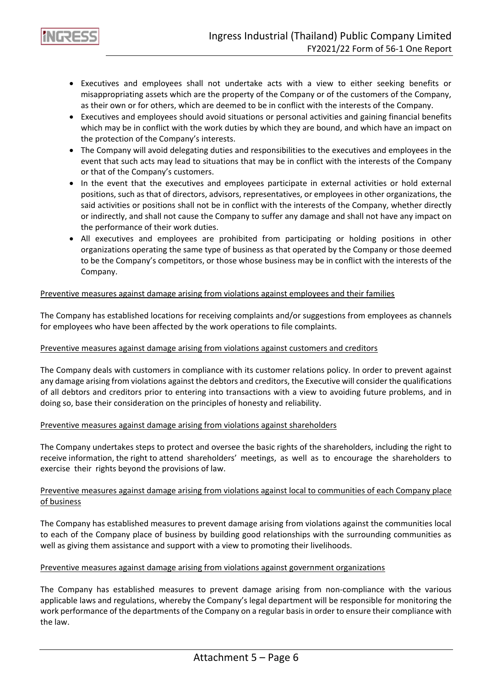- Executives and employees shall not undertake acts with a view to either seeking benefits or misappropriating assets which are the property of the Company or of the customers of the Company, as their own or for others, which are deemed to be in conflict with the interests of the Company.
- Executives and employees should avoid situations or personal activities and gaining financial benefits which may be in conflict with the work duties by which they are bound, and which have an impact on the protection of the Company's interests.
- The Company will avoid delegating duties and responsibilities to the executives and employees in the event that such acts may lead to situations that may be in conflict with the interests of the Company or that of the Company's customers.
- In the event that the executives and employees participate in external activities or hold external positions, such as that of directors, advisors, representatives, or employees in other organizations, the said activities or positions shall not be in conflict with the interests of the Company, whether directly or indirectly, and shall not cause the Company to suffer any damage and shall not have any impact on the performance of their work duties.
- All executives and employees are prohibited from participating or holding positions in other organizations operating the same type of business as that operated by the Company or those deemed to be the Company's competitors, or those whose business may be in conflict with the interests of the Company.

# Preventive measures against damage arising from violations against employees and their families

The Company has established locations for receiving complaints and/or suggestions from employees as channels for employees who have been affected by the work operations to file complaints.

### Preventive measures against damage arising from violations against customers and creditors

The Company deals with customers in compliance with its customer relations policy. In order to prevent against any damage arising from violations against the debtors and creditors, the Executive will consider the qualifications of all debtors and creditors prior to entering into transactions with a view to avoiding future problems, and in doing so, base their consideration on the principles of honesty and reliability.

### Preventive measures against damage arising from violations against shareholders

The Company undertakes steps to protect and oversee the basic rights of the shareholders, including the right to receive information, the right to attend shareholders' meetings, as well as to encourage the shareholders to exercise their rights beyond the provisions of law.

# Preventive measures against damage arising from violations against local to communities of each Company place of business

The Company has established measures to prevent damage arising from violations against the communities local to each of the Company place of business by building good relationships with the surrounding communities as well as giving them assistance and support with a view to promoting their livelihoods.

### Preventive measures against damage arising from violations against government organizations

The Company has established measures to prevent damage arising from non-compliance with the various applicable laws and regulations, whereby the Company's legal department will be responsible for monitoring the work performance of the departments of the Company on a regular basis in order to ensure their compliance with the law.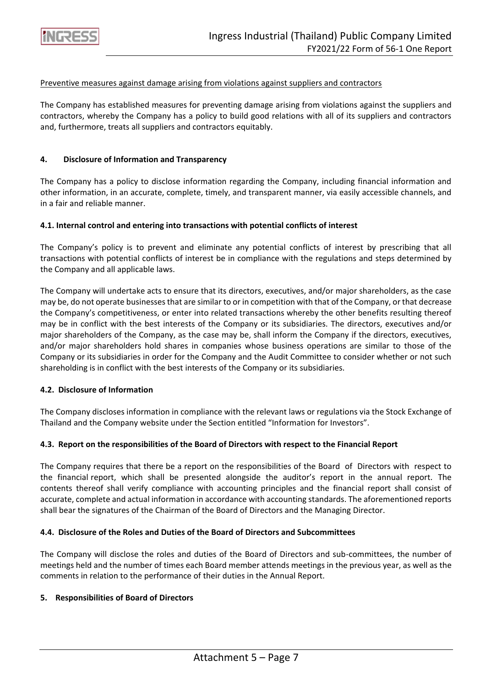

#### Preventive measures against damage arising from violations against suppliers and contractors

The Company has established measures for preventing damage arising from violations against the suppliers and contractors, whereby the Company has a policy to build good relations with all of its suppliers and contractors and, furthermore, treats all suppliers and contractors equitably.

#### **4. Disclosure of Information and Transparency**

The Company has a policy to disclose information regarding the Company, including financial information and other information, in an accurate, complete, timely, and transparent manner, via easily accessible channels, and in a fair and reliable manner.

#### **4.1. Internal control and entering into transactions with potential conflicts of interest**

The Company's policy is to prevent and eliminate any potential conflicts of interest by prescribing that all transactions with potential conflicts of interest be in compliance with the regulations and steps determined by the Company and all applicable laws.

The Company will undertake acts to ensure that its directors, executives, and/or major shareholders, as the case may be, do not operate businesses that are similar to or in competition with that of the Company, or that decrease the Company's competitiveness, or enter into related transactions whereby the other benefits resulting thereof may be in conflict with the best interests of the Company or its subsidiaries. The directors, executives and/or major shareholders of the Company, as the case may be, shall inform the Company if the directors, executives, and/or major shareholders hold shares in companies whose business operations are similar to those of the Company or its subsidiaries in order for the Company and the Audit Committee to consider whether or not such shareholding is in conflict with the best interests of the Company or its subsidiaries.

### **4.2. Disclosure of Information**

The Company discloses information in compliance with the relevant laws or regulations via the Stock Exchange of Thailand and the Company website under the Section entitled "Information for Investors".

### **4.3. Report on the responsibilities of the Board of Directors with respect to the Financial Report**

The Company requires that there be a report on the responsibilities of the Board of Directors with respect to the financial report, which shall be presented alongside the auditor's report in the annual report. The contents thereof shall verify compliance with accounting principles and the financial report shall consist of accurate, complete and actual information in accordance with accounting standards. The aforementioned reports shall bear the signatures of the Chairman of the Board of Directors and the Managing Director.

# **4.4. Disclosure of the Roles and Duties of the Board of Directors and Subcommittees**

The Company will disclose the roles and duties of the Board of Directors and sub-committees, the number of meetings held and the number of times each Board member attends meetings in the previous year, as well as the comments in relation to the performance of their duties in the Annual Report.

### **5. Responsibilities of Board of Directors**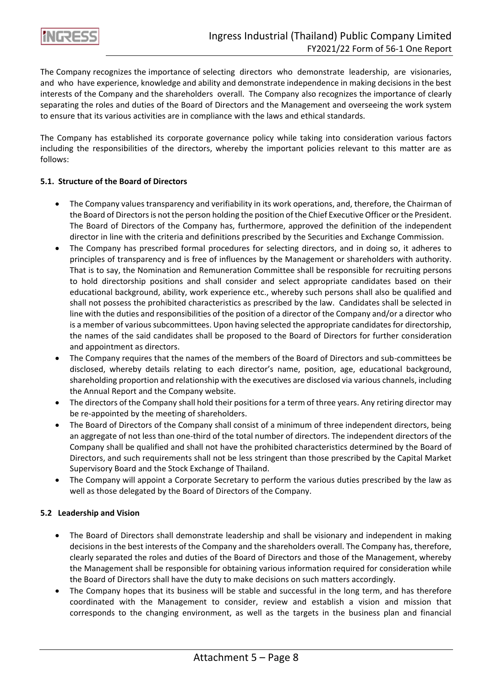

The Company recognizes the importance of selecting directors who demonstrate leadership, are visionaries, and who have experience, knowledge and ability and demonstrate independence in making decisions in the best interests of the Company and the shareholders overall. The Company also recognizes the importance of clearly separating the roles and duties of the Board of Directors and the Management and overseeing the work system to ensure that its various activities are in compliance with the laws and ethical standards.

The Company has established its corporate governance policy while taking into consideration various factors including the responsibilities of the directors, whereby the important policies relevant to this matter are as follows:

# **5.1. Structure of the Board of Directors**

- The Company values transparency and verifiability in its work operations, and, therefore, the Chairman of the Board of Directors is not the person holding the position of the Chief Executive Officer or the President. The Board of Directors of the Company has, furthermore, approved the definition of the independent director in line with the criteria and definitions prescribed by the Securities and Exchange Commission.
- The Company has prescribed formal procedures for selecting directors, and in doing so, it adheres to principles of transparency and is free of influences by the Management or shareholders with authority. That is to say, the Nomination and Remuneration Committee shall be responsible for recruiting persons to hold directorship positions and shall consider and select appropriate candidates based on their educational background, ability, work experience etc., whereby such persons shall also be qualified and shall not possess the prohibited characteristics as prescribed by the law. Candidates shall be selected in line with the duties and responsibilities of the position of a director of the Company and/or a director who is a member of various subcommittees. Upon having selected the appropriate candidates for directorship, the names of the said candidates shall be proposed to the Board of Directors for further consideration and appointment as directors.
- The Company requires that the names of the members of the Board of Directors and sub-committees be disclosed, whereby details relating to each director's name, position, age, educational background, shareholding proportion and relationship with the executives are disclosed via various channels, including the Annual Report and the Company website.
- The directors of the Company shall hold their positions for a term of three years. Any retiring director may be re-appointed by the meeting of shareholders.
- The Board of Directors of the Company shall consist of a minimum of three independent directors, being an aggregate of not less than one-third of the total number of directors. The independent directors of the Company shall be qualified and shall not have the prohibited characteristics determined by the Board of Directors, and such requirements shall not be less stringent than those prescribed by the Capital Market Supervisory Board and the Stock Exchange of Thailand.
- The Company will appoint a Corporate Secretary to perform the various duties prescribed by the law as well as those delegated by the Board of Directors of the Company.

### **5.2 Leadership and Vision**

- The Board of Directors shall demonstrate leadership and shall be visionary and independent in making decisions in the best interests of the Company and the shareholders overall. The Company has, therefore, clearly separated the roles and duties of the Board of Directors and those of the Management, whereby the Management shall be responsible for obtaining various information required for consideration while the Board of Directors shall have the duty to make decisions on such matters accordingly.
- The Company hopes that its business will be stable and successful in the long term, and has therefore coordinated with the Management to consider, review and establish a vision and mission that corresponds to the changing environment, as well as the targets in the business plan and financial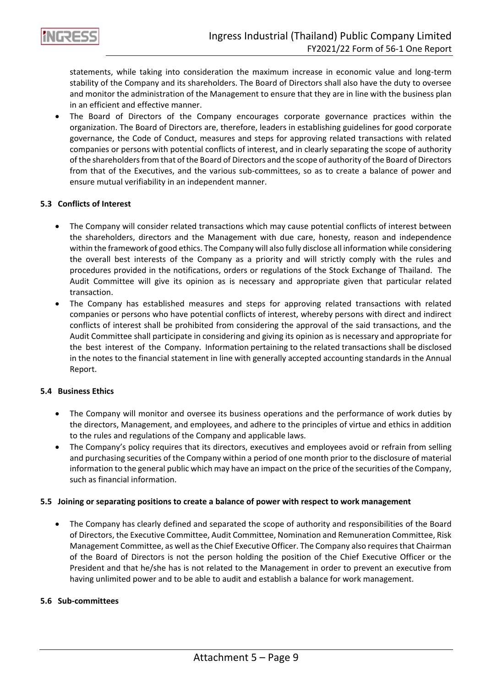

statements, while taking into consideration the maximum increase in economic value and long-term stability of the Company and its shareholders. The Board of Directors shall also have the duty to oversee and monitor the administration of the Management to ensure that they are in line with the business plan in an efficient and effective manner.

The Board of Directors of the Company encourages corporate governance practices within the organization. The Board of Directors are, therefore, leaders in establishing guidelines for good corporate governance, the Code of Conduct, measures and steps for approving related transactions with related companies or persons with potential conflicts of interest, and in clearly separating the scope of authority of the shareholders from that of the Board of Directors and the scope of authority of the Board of Directors from that of the Executives, and the various sub-committees, so as to create a balance of power and ensure mutual verifiability in an independent manner.

# **5.3 Conflicts of Interest**

- The Company will consider related transactions which may cause potential conflicts of interest between the shareholders, directors and the Management with due care, honesty, reason and independence within the framework of good ethics. The Company will also fully disclose all information while considering the overall best interests of the Company as a priority and will strictly comply with the rules and procedures provided in the notifications, orders or regulations of the Stock Exchange of Thailand. The Audit Committee will give its opinion as is necessary and appropriate given that particular related transaction.
- The Company has established measures and steps for approving related transactions with related companies or persons who have potential conflicts of interest, whereby persons with direct and indirect conflicts of interest shall be prohibited from considering the approval of the said transactions, and the Audit Committee shall participate in considering and giving its opinion as is necessary and appropriate for the best interest of the Company. Information pertaining to the related transactions shall be disclosed in the notes to the financial statement in line with generally accepted accounting standards in the Annual Report.

### **5.4 Business Ethics**

- The Company will monitor and oversee its business operations and the performance of work duties by the directors, Management, and employees, and adhere to the principles of virtue and ethics in addition to the rules and regulations of the Company and applicable laws.
- The Company's policy requires that its directors, executives and employees avoid or refrain from selling and purchasing securities of the Company within a period of one month prior to the disclosure of material information to the general public which may have an impact on the price of the securities of the Company, such as financial information.

### **5.5 Joining or separating positions to create a balance of power with respect to work management**

• The Company has clearly defined and separated the scope of authority and responsibilities of the Board of Directors, the Executive Committee, Audit Committee, Nomination and Remuneration Committee, Risk Management Committee, as well as the Chief Executive Officer. The Company also requires that Chairman of the Board of Directors is not the person holding the position of the Chief Executive Officer or the President and that he/she has is not related to the Management in order to prevent an executive from having unlimited power and to be able to audit and establish a balance for work management.

### **5.6 Sub-committees**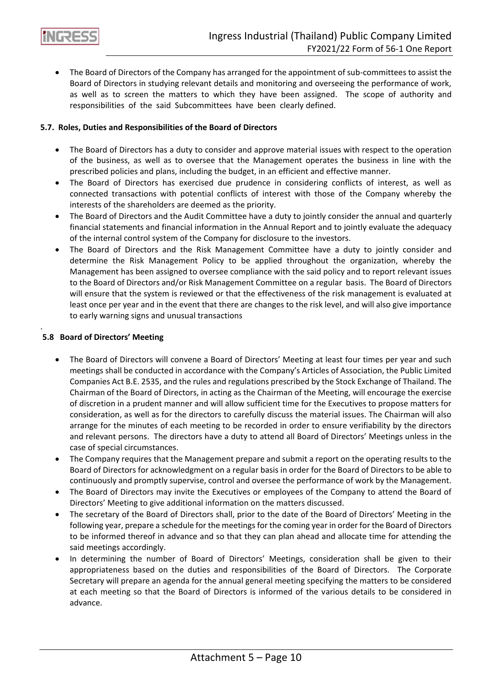

• The Board of Directors of the Company has arranged for the appointment of sub-committees to assist the Board of Directors in studying relevant details and monitoring and overseeing the performance of work, as well as to screen the matters to which they have been assigned. The scope of authority and responsibilities of the said Subcommittees have been clearly defined.

# **5.7. Roles, Duties and Responsibilities of the Board of Directors**

- The Board of Directors has a duty to consider and approve material issues with respect to the operation of the business, as well as to oversee that the Management operates the business in line with the prescribed policies and plans, including the budget, in an efficient and effective manner.
- The Board of Directors has exercised due prudence in considering conflicts of interest, as well as connected transactions with potential conflicts of interest with those of the Company whereby the interests of the shareholders are deemed as the priority.
- The Board of Directors and the Audit Committee have a duty to jointly consider the annual and quarterly financial statements and financial information in the Annual Report and to jointly evaluate the adequacy of the internal control system of the Company for disclosure to the investors.
- The Board of Directors and the Risk Management Committee have a duty to jointly consider and determine the Risk Management Policy to be applied throughout the organization, whereby the Management has been assigned to oversee compliance with the said policy and to report relevant issues to the Board of Directors and/or Risk Management Committee on a regular basis. The Board of Directors will ensure that the system is reviewed or that the effectiveness of the risk management is evaluated at least once per year and in the event that there are changes to the risk level, and will also give importance to early warning signs and unusual transactions

# **5.8 Board of Directors' Meeting**

.

- The Board of Directors will convene a Board of Directors' Meeting at least four times per year and such meetings shall be conducted in accordance with the Company's Articles of Association, the Public Limited Companies Act B.E. 2535, and the rules and regulations prescribed by the Stock Exchange of Thailand. The Chairman of the Board of Directors, in acting as the Chairman of the Meeting, will encourage the exercise of discretion in a prudent manner and will allow sufficient time for the Executives to propose matters for consideration, as well as for the directors to carefully discuss the material issues. The Chairman will also arrange for the minutes of each meeting to be recorded in order to ensure verifiability by the directors and relevant persons. The directors have a duty to attend all Board of Directors' Meetings unless in the case of special circumstances.
- The Company requires that the Management prepare and submit a report on the operating results to the Board of Directors for acknowledgment on a regular basis in order for the Board of Directors to be able to continuously and promptly supervise, control and oversee the performance of work by the Management.
- The Board of Directors may invite the Executives or employees of the Company to attend the Board of Directors' Meeting to give additional information on the matters discussed.
- The secretary of the Board of Directors shall, prior to the date of the Board of Directors' Meeting in the following year, prepare a schedule for the meetings for the coming year in order for the Board of Directors to be informed thereof in advance and so that they can plan ahead and allocate time for attending the said meetings accordingly.
- In determining the number of Board of Directors' Meetings, consideration shall be given to their appropriateness based on the duties and responsibilities of the Board of Directors. The Corporate Secretary will prepare an agenda for the annual general meeting specifying the matters to be considered at each meeting so that the Board of Directors is informed of the various details to be considered in advance.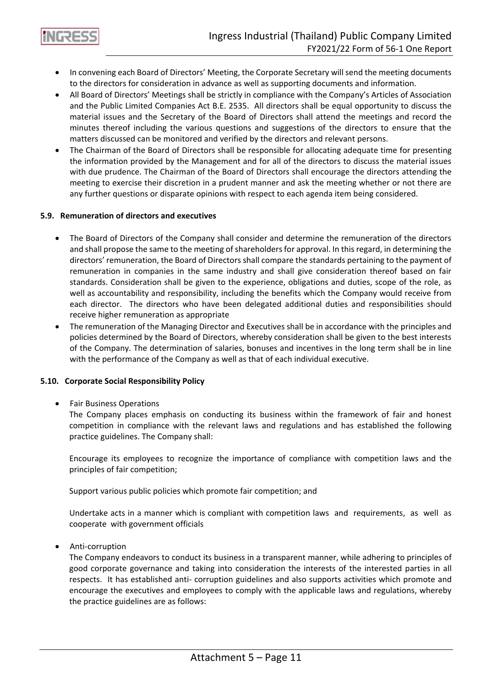

- In convening each Board of Directors' Meeting, the Corporate Secretary will send the meeting documents to the directors for consideration in advance as well as supporting documents and information.
- All Board of Directors' Meetings shall be strictly in compliance with the Company's Articles of Association and the Public Limited Companies Act B.E. 2535. All directors shall be equal opportunity to discuss the material issues and the Secretary of the Board of Directors shall attend the meetings and record the minutes thereof including the various questions and suggestions of the directors to ensure that the matters discussed can be monitored and verified by the directors and relevant persons.
- The Chairman of the Board of Directors shall be responsible for allocating adequate time for presenting the information provided by the Management and for all of the directors to discuss the material issues with due prudence. The Chairman of the Board of Directors shall encourage the directors attending the meeting to exercise their discretion in a prudent manner and ask the meeting whether or not there are any further questions or disparate opinions with respect to each agenda item being considered.

# **5.9. Remuneration of directors and executives**

- The Board of Directors of the Company shall consider and determine the remuneration of the directors and shall propose the same to the meeting of shareholders for approval. In this regard, in determining the directors' remuneration, the Board of Directors shall compare the standards pertaining to the payment of remuneration in companies in the same industry and shall give consideration thereof based on fair standards. Consideration shall be given to the experience, obligations and duties, scope of the role, as well as accountability and responsibility, including the benefits which the Company would receive from each director. The directors who have been delegated additional duties and responsibilities should receive higher remuneration as appropriate
- The remuneration of the Managing Director and Executives shall be in accordance with the principles and policies determined by the Board of Directors, whereby consideration shall be given to the best interests of the Company. The determination of salaries, bonuses and incentives in the long term shall be in line with the performance of the Company as well as that of each individual executive.

### **5.10. Corporate Social Responsibility Policy**

# • Fair Business Operations

The Company places emphasis on conducting its business within the framework of fair and honest competition in compliance with the relevant laws and regulations and has established the following practice guidelines. The Company shall:

Encourage its employees to recognize the importance of compliance with competition laws and the principles of fair competition;

Support various public policies which promote fair competition; and

Undertake acts in a manner which is compliant with competition laws and requirements, as well as cooperate with government officials

• Anti-corruption

The Company endeavors to conduct its business in a transparent manner, while adhering to principles of good corporate governance and taking into consideration the interests of the interested parties in all respects. It has established anti- corruption guidelines and also supports activities which promote and encourage the executives and employees to comply with the applicable laws and regulations, whereby the practice guidelines are as follows: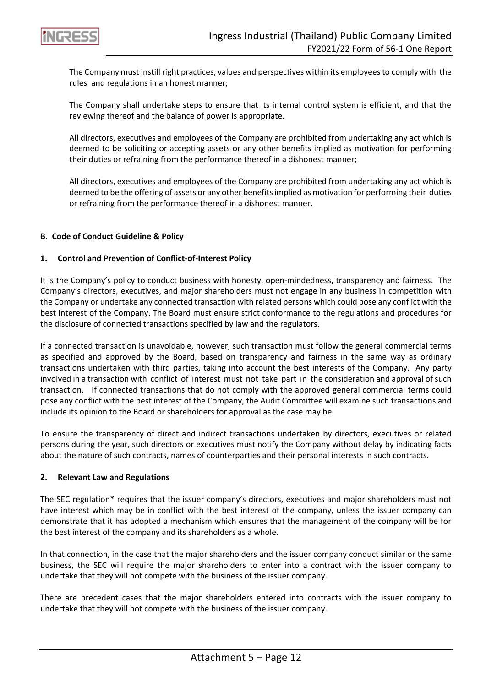

The Company must instill right practices, values and perspectives within its employees to comply with the rules and regulations in an honest manner;

The Company shall undertake steps to ensure that its internal control system is efficient, and that the reviewing thereof and the balance of power is appropriate.

All directors, executives and employees of the Company are prohibited from undertaking any act which is deemed to be soliciting or accepting assets or any other benefits implied as motivation for performing their duties or refraining from the performance thereof in a dishonest manner;

All directors, executives and employees of the Company are prohibited from undertaking any act which is deemed to be the offering of assets or any other benefits implied as motivation for performing their duties or refraining from the performance thereof in a dishonest manner.

# **B. Code of Conduct Guideline & Policy**

# **1. Control and Prevention of Conflict-of-Interest Policy**

It is the Company's policy to conduct business with honesty, open-mindedness, transparency and fairness. The Company's directors, executives, and major shareholders must not engage in any business in competition with the Company or undertake any connected transaction with related persons which could pose any conflict with the best interest of the Company. The Board must ensure strict conformance to the regulations and procedures for the disclosure of connected transactions specified by law and the regulators.

If a connected transaction is unavoidable, however, such transaction must follow the general commercial terms as specified and approved by the Board, based on transparency and fairness in the same way as ordinary transactions undertaken with third parties, taking into account the best interests of the Company. Any party involved in a transaction with conflict of interest must not take part in the consideration and approval of such transaction. If connected transactions that do not comply with the approved general commercial terms could pose any conflict with the best interest of the Company, the Audit Committee will examine such transactions and include its opinion to the Board or shareholders for approval as the case may be.

To ensure the transparency of direct and indirect transactions undertaken by directors, executives or related persons during the year, such directors or executives must notify the Company without delay by indicating facts about the nature of such contracts, names of counterparties and their personal interests in such contracts.

### **2. Relevant Law and Regulations**

The SEC regulation\* requires that the issuer company's directors, executives and major shareholders must not have interest which may be in conflict with the best interest of the company, unless the issuer company can demonstrate that it has adopted a mechanism which ensures that the management of the company will be for the best interest of the company and its shareholders as a whole.

In that connection, in the case that the major shareholders and the issuer company conduct similar or the same business, the SEC will require the major shareholders to enter into a contract with the issuer company to undertake that they will not compete with the business of the issuer company.

There are precedent cases that the major shareholders entered into contracts with the issuer company to undertake that they will not compete with the business of the issuer company.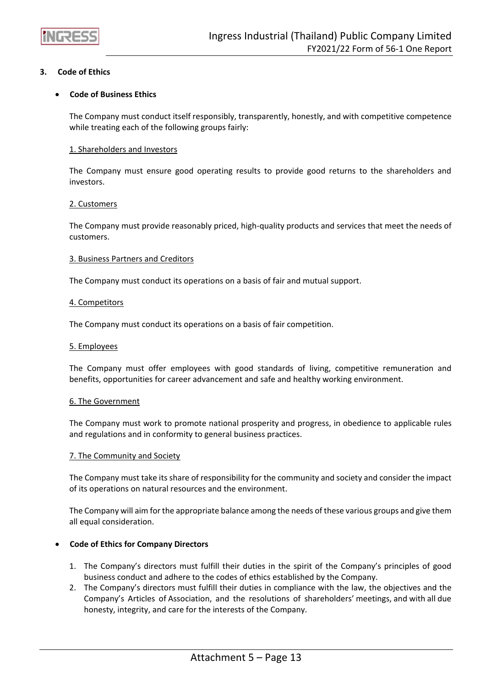

# **3. Code of Ethics**

# • **Code of Business Ethics**

The Company must conduct itself responsibly, transparently, honestly, and with competitive competence while treating each of the following groups fairly:

### 1. Shareholders and Investors

The Company must ensure good operating results to provide good returns to the shareholders and investors.

#### 2. Customers

The Company must provide reasonably priced, high-quality products and services that meet the needs of customers.

#### 3. Business Partners and Creditors

The Company must conduct its operations on a basis of fair and mutual support.

#### 4. Competitors

The Company must conduct its operations on a basis of fair competition.

#### 5. Employees

The Company must offer employees with good standards of living, competitive remuneration and benefits, opportunities for career advancement and safe and healthy working environment.

#### 6. The Government

The Company must work to promote national prosperity and progress, in obedience to applicable rules and regulations and in conformity to general business practices.

#### 7. The Community and Society

The Company must take its share of responsibility for the community and society and consider the impact of its operations on natural resources and the environment.

The Company will aim for the appropriate balance among the needs of these various groups and give them all equal consideration.

### • **Code of Ethics for Company Directors**

- 1. The Company's directors must fulfill their duties in the spirit of the Company's principles of good business conduct and adhere to the codes of ethics established by the Company.
- 2. The Company's directors must fulfill their duties in compliance with the law, the objectives and the Company's Articles of Association, and the resolutions of shareholders' meetings, and with all due honesty, integrity, and care for the interests of the Company.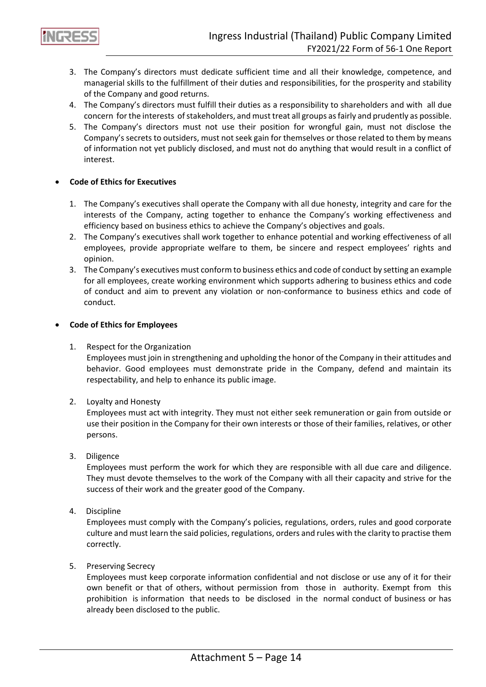

- 3. The Company's directors must dedicate sufficient time and all their knowledge, competence, and managerial skills to the fulfillment of their duties and responsibilities, for the prosperity and stability of the Company and good returns.
- 4. The Company's directors must fulfill their duties as a responsibility to shareholders and with all due concern for the interests of stakeholders, and must treat all groups as fairly and prudently as possible.
- 5. The Company's directors must not use their position for wrongful gain, must not disclose the Company's secrets to outsiders, must not seek gain for themselves or those related to them by means of information not yet publicly disclosed, and must not do anything that would result in a conflict of interest.

# • **Code of Ethics for Executives**

- 1. The Company's executives shall operate the Company with all due honesty, integrity and care for the interests of the Company, acting together to enhance the Company's working effectiveness and efficiency based on business ethics to achieve the Company's objectives and goals.
- 2. The Company's executives shall work together to enhance potential and working effectiveness of all employees, provide appropriate welfare to them, be sincere and respect employees' rights and opinion.
- 3. The Company's executives must conform to business ethics and code of conduct by setting an example for all employees, create working environment which supports adhering to business ethics and code of conduct and aim to prevent any violation or non-conformance to business ethics and code of conduct.

# • **Code of Ethics for Employees**

1. Respect for the Organization

Employees must join in strengthening and upholding the honor of the Company in their attitudes and behavior. Good employees must demonstrate pride in the Company, defend and maintain its respectability, and help to enhance its public image.

2. Loyalty and Honesty

Employees must act with integrity. They must not either seek remuneration or gain from outside or use their position in the Company for their own interests or those of their families, relatives, or other persons.

3. Diligence

Employees must perform the work for which they are responsible with all due care and diligence. They must devote themselves to the work of the Company with all their capacity and strive for the success of their work and the greater good of the Company.

4. Discipline

Employees must comply with the Company's policies, regulations, orders, rules and good corporate culture and must learn the said policies, regulations, orders and rules with the clarity to practise them correctly.

5. Preserving Secrecy

Employees must keep corporate information confidential and not disclose or use any of it for their own benefit or that of others, without permission from those in authority. Exempt from this prohibition is information that needs to be disclosed in the normal conduct of business or has already been disclosed to the public.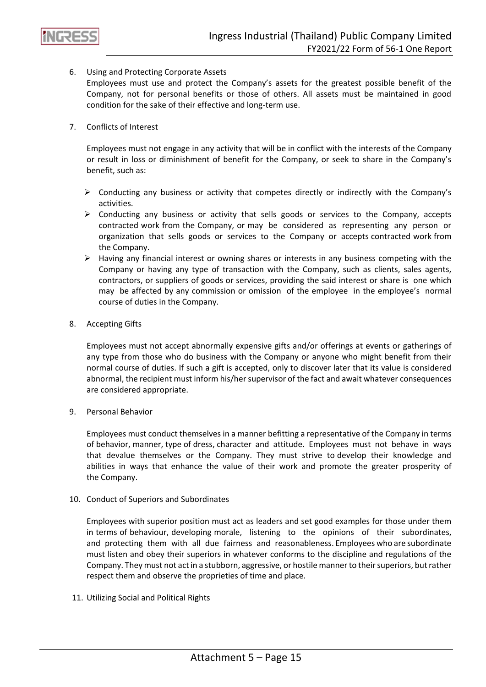

# 6. Using and Protecting Corporate Assets

Employees must use and protect the Company's assets for the greatest possible benefit of the Company, not for personal benefits or those of others. All assets must be maintained in good condition for the sake of their effective and long-term use.

# 7. Conflicts of Interest

Employees must not engage in any activity that will be in conflict with the interests of the Company or result in loss or diminishment of benefit for the Company, or seek to share in the Company's benefit, such as:

- $\triangleright$  Conducting any business or activity that competes directly or indirectly with the Company's activities.
- ➢ Conducting any business or activity that sells goods or services to the Company, accepts contracted work from the Company, or may be considered as representing any person or organization that sells goods or services to the Company or accepts contracted work from the Company.
- $\triangleright$  Having any financial interest or owning shares or interests in any business competing with the Company or having any type of transaction with the Company, such as clients, sales agents, contractors, or suppliers of goods or services, providing the said interest or share is one which may be affected by any commission or omission of the employee in the employee's normal course of duties in the Company.
- 8. Accepting Gifts

Employees must not accept abnormally expensive gifts and/or offerings at events or gatherings of any type from those who do business with the Company or anyone who might benefit from their normal course of duties. If such a gift is accepted, only to discover later that its value is considered abnormal, the recipient must inform his/her supervisor of the fact and await whatever consequences are considered appropriate.

9. Personal Behavior

Employees must conduct themselves in a manner befitting a representative of the Company in terms of behavior, manner, type of dress, character and attitude. Employees must not behave in ways that devalue themselves or the Company. They must strive to develop their knowledge and abilities in ways that enhance the value of their work and promote the greater prosperity of the Company.

### 10. Conduct of Superiors and Subordinates

Employees with superior position must act as leaders and set good examples for those under them in terms of behaviour, developing morale, listening to the opinions of their subordinates, and protecting them with all due fairness and reasonableness. Employees who are subordinate must listen and obey their superiors in whatever conforms to the discipline and regulations of the Company. They must not act in a stubborn, aggressive, or hostile manner to their superiors, but rather respect them and observe the proprieties of time and place.

11. Utilizing Social and Political Rights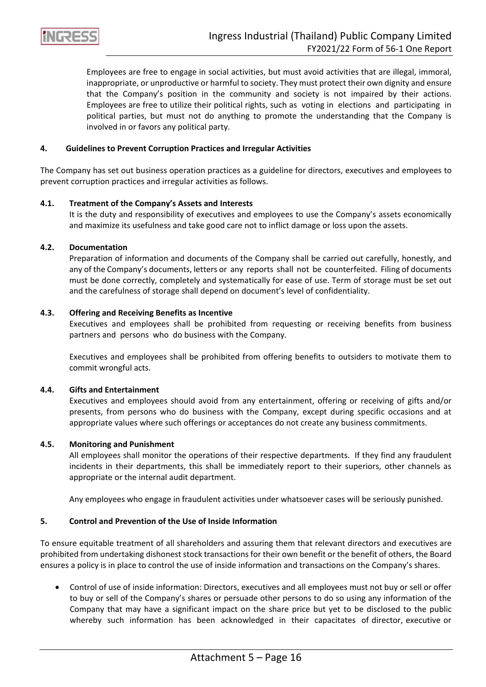

Employees are free to engage in social activities, but must avoid activities that are illegal, immoral, inappropriate, or unproductive or harmful to society. They must protect their own dignity and ensure that the Company's position in the community and society is not impaired by their actions. Employees are free to utilize their political rights, such as voting in elections and participating in political parties, but must not do anything to promote the understanding that the Company is involved in or favors any political party.

### **4. Guidelines to Prevent Corruption Practices and Irregular Activities**

The Company has set out business operation practices as a guideline for directors, executives and employees to prevent corruption practices and irregular activities as follows.

#### **4.1. Treatment of the Company's Assets and Interests**

It is the duty and responsibility of executives and employees to use the Company's assets economically and maximize its usefulness and take good care not to inflict damage or loss upon the assets.

#### **4.2. Documentation**

Preparation of information and documents of the Company shall be carried out carefully, honestly, and any of the Company's documents, letters or any reports shall not be counterfeited. Filing of documents must be done correctly, completely and systematically for ease of use. Term of storage must be set out and the carefulness of storage shall depend on document's level of confidentiality.

#### **4.3. Offering and Receiving Benefits as Incentive**

Executives and employees shall be prohibited from requesting or receiving benefits from business partners and persons who do business with the Company.

Executives and employees shall be prohibited from offering benefits to outsiders to motivate them to commit wrongful acts.

#### **4.4. Gifts and Entertainment**

Executives and employees should avoid from any entertainment, offering or receiving of gifts and/or presents, from persons who do business with the Company, except during specific occasions and at appropriate values where such offerings or acceptances do not create any business commitments.

#### **4.5. Monitoring and Punishment**

All employees shall monitor the operations of their respective departments. If they find any fraudulent incidents in their departments, this shall be immediately report to their superiors, other channels as appropriate or the internal audit department.

Any employees who engage in fraudulent activities under whatsoever cases will be seriously punished.

#### **5. Control and Prevention of the Use of Inside Information**

To ensure equitable treatment of all shareholders and assuring them that relevant directors and executives are prohibited from undertaking dishonest stock transactions for their own benefit or the benefit of others, the Board ensures a policy is in place to control the use of inside information and transactions on the Company's shares.

• Control of use of inside information: Directors, executives and all employees must not buy or sell or offer to buy or sell of the Company's shares or persuade other persons to do so using any information of the Company that may have a significant impact on the share price but yet to be disclosed to the public whereby such information has been acknowledged in their capacitates of director, executive or